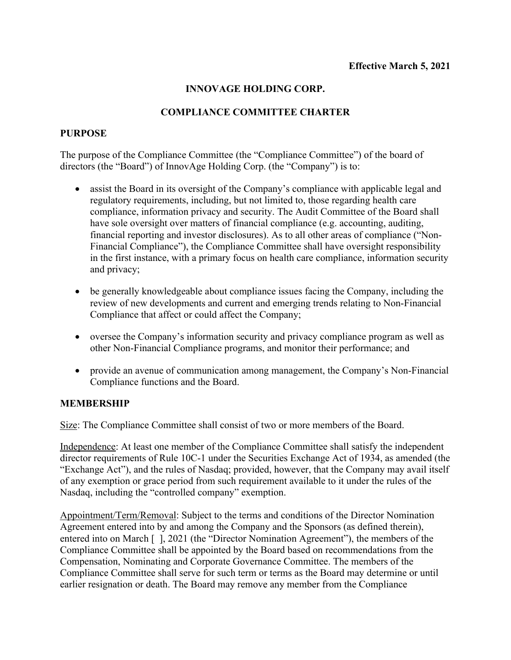# **INNOVAGE HOLDING CORP.**

### **COMPLIANCE COMMITTEE CHARTER**

### **PURPOSE**

The purpose of the Compliance Committee (the "Compliance Committee") of the board of directors (the "Board") of InnovAge Holding Corp. (the "Company") is to:

- assist the Board in its oversight of the Company's compliance with applicable legal and regulatory requirements, including, but not limited to, those regarding health care compliance, information privacy and security. The Audit Committee of the Board shall have sole oversight over matters of financial compliance (e.g. accounting, auditing, financial reporting and investor disclosures). As to all other areas of compliance ("Non-Financial Compliance"), the Compliance Committee shall have oversight responsibility in the first instance, with a primary focus on health care compliance, information security and privacy;
- be generally knowledgeable about compliance issues facing the Company, including the review of new developments and current and emerging trends relating to Non-Financial Compliance that affect or could affect the Company;
- oversee the Company's information security and privacy compliance program as well as other Non-Financial Compliance programs, and monitor their performance; and
- provide an avenue of communication among management, the Company's Non-Financial Compliance functions and the Board.

### **MEMBERSHIP**

Size: The Compliance Committee shall consist of two or more members of the Board.

Independence: At least one member of the Compliance Committee shall satisfy the independent director requirements of Rule 10C-1 under the Securities Exchange Act of 1934, as amended (the "Exchange Act"), and the rules of Nasdaq; provided, however, that the Company may avail itself of any exemption or grace period from such requirement available to it under the rules of the Nasdaq, including the "controlled company" exemption.

Appointment/Term/Removal: Subject to the terms and conditions of the Director Nomination Agreement entered into by and among the Company and the Sponsors (as defined therein), entered into on March [ ], 2021 (the "Director Nomination Agreement"), the members of the Compliance Committee shall be appointed by the Board based on recommendations from the Compensation, Nominating and Corporate Governance Committee. The members of the Compliance Committee shall serve for such term or terms as the Board may determine or until earlier resignation or death. The Board may remove any member from the Compliance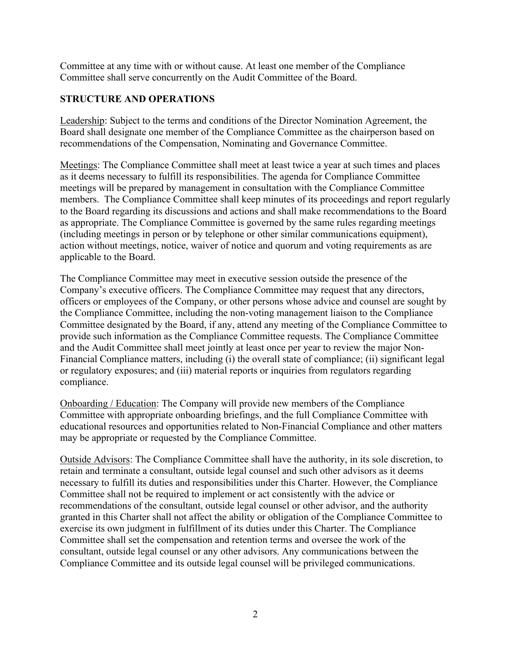Committee at any time with or without cause. At least one member of the Compliance Committee shall serve concurrently on the Audit Committee of the Board.

# **STRUCTURE AND OPERATIONS**

Leadership: Subject to the terms and conditions of the Director Nomination Agreement, the Board shall designate one member of the Compliance Committee as the chairperson based on recommendations of the Compensation, Nominating and Governance Committee.

Meetings: The Compliance Committee shall meet at least twice a year at such times and places as it deems necessary to fulfill its responsibilities. The agenda for Compliance Committee meetings will be prepared by management in consultation with the Compliance Committee members. The Compliance Committee shall keep minutes of its proceedings and report regularly to the Board regarding its discussions and actions and shall make recommendations to the Board as appropriate. The Compliance Committee is governed by the same rules regarding meetings (including meetings in person or by telephone or other similar communications equipment), action without meetings, notice, waiver of notice and quorum and voting requirements as are applicable to the Board.

The Compliance Committee may meet in executive session outside the presence of the Company's executive officers. The Compliance Committee may request that any directors, officers or employees of the Company, or other persons whose advice and counsel are sought by the Compliance Committee, including the non-voting management liaison to the Compliance Committee designated by the Board, if any, attend any meeting of the Compliance Committee to provide such information as the Compliance Committee requests. The Compliance Committee and the Audit Committee shall meet jointly at least once per year to review the major Non-Financial Compliance matters, including (i) the overall state of compliance; (ii) significant legal or regulatory exposures; and (iii) material reports or inquiries from regulators regarding compliance.

Onboarding / Education: The Company will provide new members of the Compliance Committee with appropriate onboarding briefings, and the full Compliance Committee with educational resources and opportunities related to Non-Financial Compliance and other matters may be appropriate or requested by the Compliance Committee.

Outside Advisors: The Compliance Committee shall have the authority, in its sole discretion, to retain and terminate a consultant, outside legal counsel and such other advisors as it deems necessary to fulfill its duties and responsibilities under this Charter. However, the Compliance Committee shall not be required to implement or act consistently with the advice or recommendations of the consultant, outside legal counsel or other advisor, and the authority granted in this Charter shall not affect the ability or obligation of the Compliance Committee to exercise its own judgment in fulfillment of its duties under this Charter. The Compliance Committee shall set the compensation and retention terms and oversee the work of the consultant, outside legal counsel or any other advisors. Any communications between the Compliance Committee and its outside legal counsel will be privileged communications.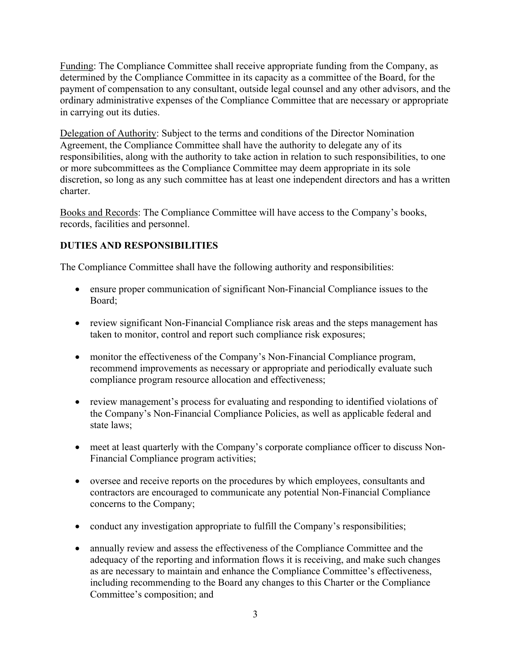Funding: The Compliance Committee shall receive appropriate funding from the Company, as determined by the Compliance Committee in its capacity as a committee of the Board, for the payment of compensation to any consultant, outside legal counsel and any other advisors, and the ordinary administrative expenses of the Compliance Committee that are necessary or appropriate in carrying out its duties.

Delegation of Authority: Subject to the terms and conditions of the Director Nomination Agreement, the Compliance Committee shall have the authority to delegate any of its responsibilities, along with the authority to take action in relation to such responsibilities, to one or more subcommittees as the Compliance Committee may deem appropriate in its sole discretion, so long as any such committee has at least one independent directors and has a written charter.

Books and Records: The Compliance Committee will have access to the Company's books, records, facilities and personnel.

# **DUTIES AND RESPONSIBILITIES**

The Compliance Committee shall have the following authority and responsibilities:

- ensure proper communication of significant Non-Financial Compliance issues to the Board;
- review significant Non-Financial Compliance risk areas and the steps management has taken to monitor, control and report such compliance risk exposures;
- monitor the effectiveness of the Company's Non-Financial Compliance program, recommend improvements as necessary or appropriate and periodically evaluate such compliance program resource allocation and effectiveness;
- review management's process for evaluating and responding to identified violations of the Company's Non-Financial Compliance Policies, as well as applicable federal and state laws;
- meet at least quarterly with the Company's corporate compliance officer to discuss Non-Financial Compliance program activities;
- oversee and receive reports on the procedures by which employees, consultants and contractors are encouraged to communicate any potential Non-Financial Compliance concerns to the Company;
- conduct any investigation appropriate to fulfill the Company's responsibilities;
- annually review and assess the effectiveness of the Compliance Committee and the adequacy of the reporting and information flows it is receiving, and make such changes as are necessary to maintain and enhance the Compliance Committee's effectiveness, including recommending to the Board any changes to this Charter or the Compliance Committee's composition; and